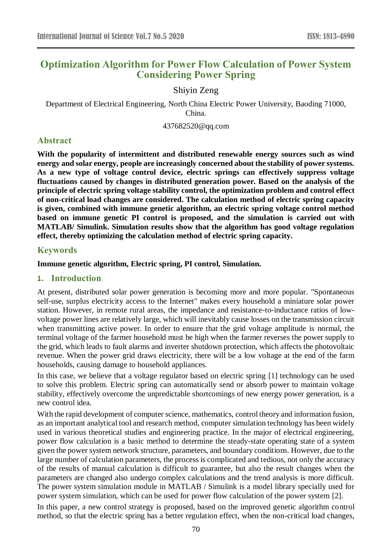# **Optimization Algorithm for Power Flow Calculation of Power System Considering Power Spring**

## Shiyin Zeng

Department of Electrical Engineering, North China Electric Power University, Baoding 71000, China.

437682520@qq.com

# **Abstract**

**With the popularity of intermittent and distributed renewable energy sources such as wind energy and solar energy, people are increasingly concerned about the stability of power systems. As a new type of voltage control device, electric springs can effectively suppress voltage fluctuations caused by changes in distributed generation power. Based on the analysis of the principle of electric spring voltage stability control, the optimization problem and control effect of non-critical load changes are considered. The calculation method of electric spring capacity is given, combined with immune genetic algorithm, an electric spring voltage control method based on immune genetic PI control is proposed, and the simulation is carried out with MATLAB/ Simulink. Simulation results show that the algorithm has good voltage regulation effect, thereby optimizing the calculation method of electric spring capacity.**

### **Keywords**

#### **Immune genetic algorithm, Electric spring, PI control, Simulation.**

### **1. Introduction**

At present, distributed solar power generation is becoming more and more popular. "Spontaneous self-use, surplus electricity access to the Internet" makes every household a miniature solar power station. However, in remote rural areas, the impedance and resistance-to-inductance ratios of lowvoltage power lines are relatively large, which will inevitably cause losses on the transmission circuit when transmitting active power. In order to ensure that the grid voltage amplitude is normal, the terminal voltage of the farmer household must be high when the farmer reverses the power supply to the grid, which leads to fault alarms and inverter shutdown protection, which affects the photovoltaic revenue. When the power grid draws electricity, there will be a low voltage at the end of the farm households, causing damage to household appliances.

In this case, we believe that a voltage regulator based on electric spring [1] technology can be used to solve this problem. Electric spring can automatically send or absorb power to maintain voltage stability, effectively overcome the unpredictable shortcomings of new energy power generation, is a new control idea.

With the rapid development of computer science, mathematics, control theory and information fusion, as an important analytical tool and research method, computer simulation technology has been widely used in various theoretical studies and engineering practice. In the major of electrical engineering, power flow calculation is a basic method to determine the steady-state operating state of a system given the power system network structure, parameters, and boundary conditions. However, due to the large number of calculation parameters, the process is complicated and tedious, not only the accuracy of the results of manual calculation is difficult to guarantee, but also the result changes when the parameters are changed also undergo complex calculations and the trend analysis is more difficult. The power system simulation module in MATLAB / Simulink is a model library specially used for power system simulation, which can be used for power flow calculation of the power system [2].

In this paper, a new control strategy is proposed, based on the improved genetic algorithm control method, so that the electric spring has a better regulation effect, when the non-critical load changes,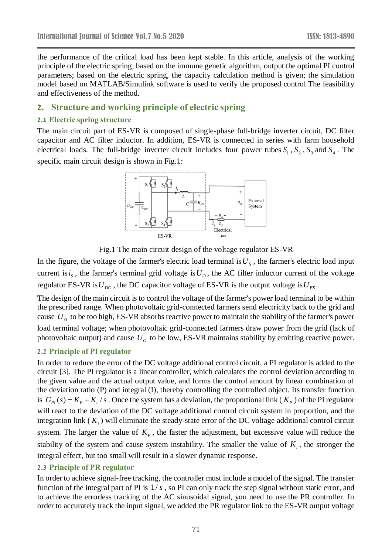the performance of the critical load has been kept stable. In this article, analysis of the working principle of the electric spring; based on the immune genetic algorithm, output the optimal PI control parameters; based on the electric spring, the capacity calculation method is given; the simulation model based on MATLAB/Simulink software is used to verify the proposed control The feasibility and effectiveness of the method.

## **2. Structure and working principle of electric spring**

### **2.1 Electric spring structure**

The main circuit part of ES-VR is composed of single-phase full-bridge inverter circuit, DC filter capacitor and AC filter inductor. In addition, ES-VR is connected in series with farm household electrical loads. The full-bridge inverter circuit includes four power tubes  $S_1$ ,  $S_2$ ,  $S_3$  and  $S_4$ . The specific main circuit design is shown in Fig.1:





In the figure, the voltage of the farmer's electric load terminal is  $U_s$ , the farmer's electric load input current is  $i_s$ , the farmer's terminal grid voltage is  $U_o$ , the AC filter inductor current of the voltage regulator ES-VR is  $U_{DC}$ , the DC capacitor voltage of ES-VR is the output voltage is  $U_{ES}$ .

The design of the main circuit is to control the voltage of the farmer's power load terminal to be within the prescribed range. When photovoltaic grid-connected farmers send electricity back to the grid and cause  $U<sub>o</sub>$  to be too high, ES-VR absorbs reactive power to maintain the stability of the farmer's power load terminal voltage; when photovoltaic grid-connected farmers draw power from the grid (lack of photovoltaic output) and cause  $U<sub>o</sub>$  to be low, ES-VR maintains stability by emitting reactive power.

### **2.2 Principle of PI regulator**

In order to reduce the error of the DC voltage additional control circuit, a PI regulator is added to the circuit [3]. The PI regulator is a linear controller, which calculates the control deviation according to the given value and the actual output value, and forms the control amount by linear combination of the deviation ratio (P) and integral (I), thereby controlling the controlled object. Its transfer function is  $G_{PI}(s) = K_p + K_i / s$ . Once the system has a deviation, the proportional link ( $K_p$ ) of the PI regulator will react to the deviation of the DC voltage additional control circuit system in proportion, and the integration link  $(K_i)$  will eliminate the steady-state error of the DC voltage additional control circuit system. The larger the value of  $K_p$ , the faster the adjustment, but excessive value will reduce the stability of the system and cause system instability. The smaller the value of  $K_i$ , the stronger the integral effect, but too small will result in a slower dynamic response.

#### **2.3 Principle of PR regulator**

In order to achieve signal-free tracking, the controller must include a model of the signal. The transfer function of the integral part of PI is  $1/s$ , so PI can only track the step signal without static error, and to achieve the errorless tracking of the AC sinusoidal signal, you need to use the PR controller. In order to accurately track the input signal, we added the PR regulator link to the ES-VR output voltage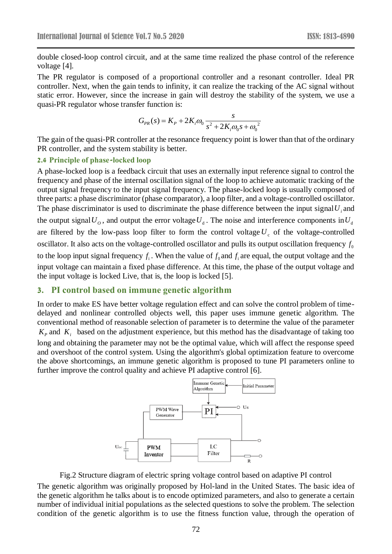double closed-loop control circuit, and at the same time realized the phase control of the reference voltage [4].

The PR regulator is composed of a proportional controller and a resonant controller. Ideal PR controller. Next, when the gain tends to infinity, it can realize the tracking of the AC signal without static error. However, since the increase in gain will destroy the stability of the system, we use a quasi-PR regulator whose transfer function is:

$$
G_{PR}(s) = K_P + 2K_i\omega_0 \frac{s}{s^2 + 2K_i\omega_0 s + \omega_0^2}
$$

The gain of the quasi-PR controller at the resonance frequency point is lower than that of the ordinary PR controller, and the system stability is better.

#### **2.4 Principle of phase-locked loop**

A phase-locked loop is a feedback circuit that uses an externally input reference signal to control the frequency and phase of the internal oscillation signal of the loop to achieve automatic tracking of the output signal frequency to the input signal frequency. The phase-locked loop is usually composed of three parts: a phase discriminator (phase comparator), a loop filter, and a voltage-controlled oscillator. The phase discriminator is used to discriminate the phase difference between the input signal  $U_i$  and the output signal  $U_o$ , and output the error voltage  $U_d$ . The noise and interference components in  $U_d$ are filtered by the low-pass loop filter to form the control voltage  $U_c$  of the voltage-controlled oscillator. It also acts on the voltage-controlled oscillator and pulls its output oscillation frequency  $f_0$ to the loop input signal frequency  $f_i$ . When the value of  $f_0$  and  $f_i$  are equal, the output voltage and the input voltage can maintain a fixed phase difference. At this time, the phase of the output voltage and the input voltage is locked Live, that is, the loop is locked [5].

#### **3. PI control based on immune genetic algorithm**

In order to make ES have better voltage regulation effect and can solve the control problem of timedelayed and nonlinear controlled objects well, this paper uses immune genetic algorithm. The conventional method of reasonable selection of parameter is to determine the value of the parameter  $K_p$  and  $K_i$  based on the adjustment experience, but this method has the disadvantage of taking too long and obtaining the parameter may not be the optimal value, which will affect the response speed

and overshoot of the control system. Using the algorithm's global optimization feature to overcome the above shortcomings, an immune genetic algorithm is proposed to tune PI parameters online to further improve the control quality and achieve PI adaptive control [6].



Fig.2 Structure diagram of electric spring voltage control based on adaptive PI control

The genetic algorithm was originally proposed by Hol-land in the United States. The basic idea of the genetic algorithm he talks about is to encode optimized parameters, and also to generate a certain number of individual initial populations as the selected questions to solve the problem. The selection condition of the genetic algorithm is to use the fitness function value, through the operation of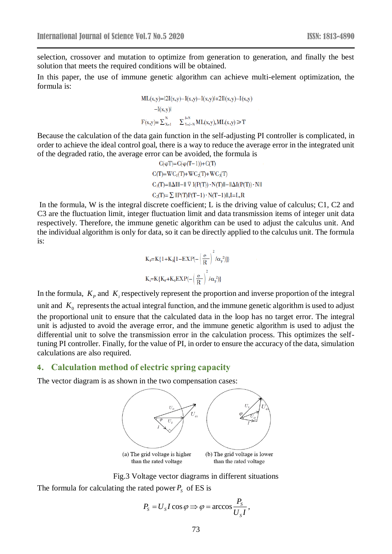selection, crossover and mutation to optimize from generation to generation, and finally the best solution that meets the required conditions will be obtained.

In this paper, the use of immune genetic algorithm can achieve multi-element optimization, the formula is:

> $ML(x,y)=|2I(x,y)-I(x,y)-I(x,y)|+2I(x,y)-I(x,y)$ --I(x,y)l<br>
> F(x,y)=  $\sum_{x=1}^{N}$   $\sum_{y=1-N}^{J+N}$ ML(x,y),ML(x,y) ≥ T

Because the calculation of the data gain function in the self-adjusting PI controller is complicated, in order to achieve the ideal control goal, there is a way to reduce the average error in the integrated unit of the degraded ratio, the average error can be avoided, the formula is

> $C(\varphi T) = C(\varphi(T-1)) + C(T)$  $C(T) = WC_1(T)+WC_2(T)+WC_3(T)$  $C_1(T)=||\Delta I||-||\nabla I(P(T))\cdot N(T)||-||\Delta I(P(T))\cdot N||$  $C_2(T) = \sum ||P(T)P(T-1) \cdot N(T-1)||$ , I=L, R

In the formula, W is the integral discrete coefficient; L is the driving value of calculus; C1, C2 and C3 are the fluctuation limit, integer fluctuation limit and data transmission items of integer unit data respectively. Therefore, the immune genetic algorithm can be used to adjust the calculus unit. And the individual algorithm is only for data, so it can be directly applied to the calculus unit. The formula is:

$$
K_{P} = K\{1 + K_{0}[1 - EXP(-\left(\frac{e}{R}\right)^{2}/\alpha_{P}^{2})]\}
$$

$$
K_{i} = K\{K_{P} + K_{0} EXP(-\left(\frac{e}{R}\right)^{2}/\alpha_{P}^{2})\}
$$

In the formula,  $K_p$  and  $K_i$  respectively represent the proportion and inverse proportion of the integral unit and  $K_0$  represents the actual integral function, and the immune genetic algorithm is used to adjust the proportional unit to ensure that the calculated data in the loop has no target error. The integral unit is adjusted to avoid the average error, and the immune genetic algorithm is used to adjust the differential unit to solve the transmission error in the calculation process. This optimizes the selftuning PI controller. Finally, for the value of PI, in order to ensure the accuracy of the data, simulation calculations are also required.

#### **4. Calculation method of electric spring capacity**

The vector diagram is as shown in the two compensation cases:



Fig.3 Voltage vector diagrams in different situations The formula for calculating the rated power  $P<sub>S</sub>$  of ES is

$$
P_{S} = U_{S} I \cos \varphi \Longrightarrow \varphi = \arccos \frac{P_{S}}{U_{S} I},
$$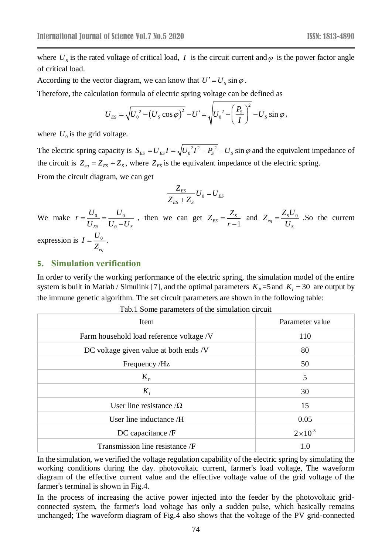where  $U_s$  is the rated voltage of critical load, I is the circuit current and  $\varphi$  is the power factor angle of critical load.

According to the vector diagram, we can know that  $U' = U_s \sin \varphi$ .

Therefore, the calculation formula of electric spring voltage can be defined as

$$
U_{ES} = \sqrt{{U_0}^2 - (U_S \cos \varphi)^2} - U' = \sqrt{{U_0}^2 - \left(\frac{P_S}{I}\right)^2} - U_S \sin \varphi,
$$

where  $U_0$  is the grid voltage.

The electric spring capacity is  $S_{FS} = U_{FS} I = \sqrt{U_0^2 I^2 - P_s^2}$  $S_{ES} = U_{ES}I = \sqrt{U_0^2I^2 - P_s^2 - U_s} \sin \varphi$  and the equivalent impedance of the circuit is  $Z_{eq} = Z_{ES} + Z_{S}$ , where  $Z_{ES}$  is the equivalent impedance of the electric spring.

From the circuit diagram, we can get

$$
\frac{Z_{ES}}{Z_{ES} + Z_{S}} U_0 = U_{ES}
$$

We make  $r = \frac{60}{11} = \frac{60}{11}$  $ES \tO_0 \tS$  $r = \frac{U_0}{U_{\rm esc}} = \frac{U_0}{U_0-U_0}$ , then we can get  $Z_{ES} = \frac{Z_S}{r-1}$  $E_S = \frac{E_S}{S}$  $Z_{\text{res}} = \frac{Z}{\sqrt{Z}}$ *r*  $=\frac{1}{r-1}$ and  $Z_{eq} = \frac{\Sigma_S C_0}{\Sigma}$ *eq S*  $Z_{\mu} = \frac{Z_{S}U}{\mu}$  $=\frac{Z_s C_0}{U_s}$ . So the current

expression is  $I = \frac{U_0}{I}$  $=\frac{0}{Z}$ .

### **5. Simulation verification**

*eq*

In order to verify the working performance of the electric spring, the simulation model of the entire system is built in Matlab / Simulink [7], and the optimal parameters  $K_p = 5$  and  $K_i = 30$  are output by the immune genetic algorithm. The set circuit parameters are shown in the following table:

| Item                                     | Parameter value    |
|------------------------------------------|--------------------|
| Farm household load reference voltage /V | 110                |
| DC voltage given value at both ends /V   | 80                 |
| Frequency /Hz                            | 50                 |
| $K_{P}$                                  | 5                  |
| $K_i$                                    | 30                 |
| User line resistance $\Omega$            | 15                 |
| User line inductance /H                  | 0.05               |
| DC capacitance /F                        | $2 \times 10^{-3}$ |
| Transmission line resistance /F          | 1.0                |

Tab.1 Some parameters of the simulation circuit

In the simulation, we verified the voltage regulation capability of the electric spring by simulating the working conditions during the day. photovoltaic current, farmer's load voltage, The waveform diagram of the effective current value and the effective voltage value of the grid voltage of the farmer's terminal is shown in Fig.4.

In the process of increasing the active power injected into the feeder by the photovoltaic gridconnected system, the farmer's load voltage has only a sudden pulse, which basically remains unchanged; The waveform diagram of Fig.4 also shows that the voltage of the PV grid-connected